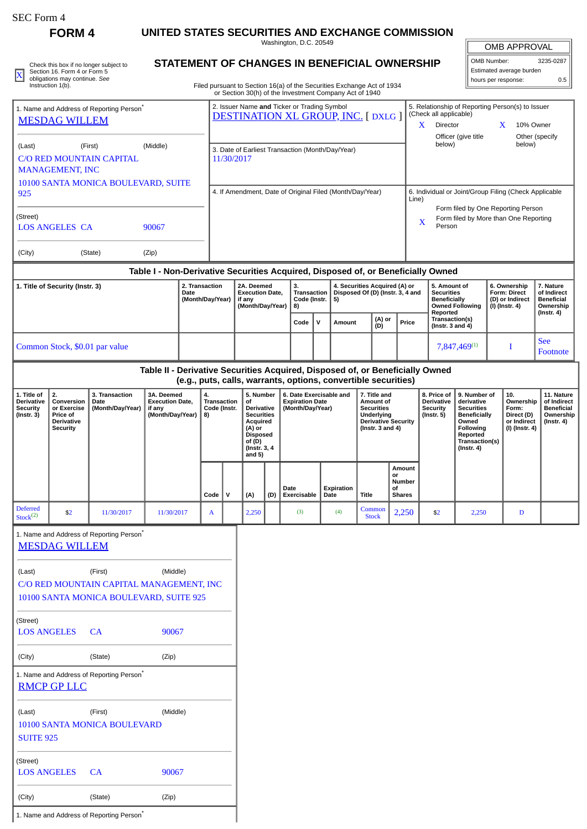|  | SEC Form 4 |  |
|--|------------|--|
|--|------------|--|

**FORM 4 UNITED STATES SECURITIES AND EXCHANGE COMMISSION**

Washington, D.C. 20549

|  | Check this box if no longer subject to             | STATEMENT OF CHANGES IN BENEFICIAL OWNERSHIP                           | OMB Number:              | 3235-0287 |
|--|----------------------------------------------------|------------------------------------------------------------------------|--------------------------|-----------|
|  | Section 16, Form 4 or Form 5                       |                                                                        | Estimated average burden |           |
|  | obligations may continue. See<br>Instruction 1(b). | Filed pursuant to Section 16(a) of the Securities Exchange Act of 1934 | I hours per response:    |           |
|  |                                                    |                                                                        |                          |           |

## **STATEMENT OF CHANGES IN BENEFICIAL OWNERSHIP**

Filed pursuant to Section 16(a) of the Securities Exchange Act of 1934 or Section 30(h) of the Investment Company Act of 1940

| <b>OMB APPROVAL</b>      |           |  |  |  |  |  |
|--------------------------|-----------|--|--|--|--|--|
| OMB Number:              | 3235-0287 |  |  |  |  |  |
| Estimated average burden |           |  |  |  |  |  |
| hours per response:      | 0.5       |  |  |  |  |  |

| 1. Name and Address of Reporting Person <sup>®</sup><br><b>MESDAG WILLEM</b> |                                                                                     |                                                                                                |                                                                    | 2. Issuer Name and Ticker or Trading Symbol<br><b>DESTINATION XL GROUP, INC. [DXLG ]</b> |                                                          |                                                                |                                                                                                                                    |                                                                                                                                                                                            |                                                                                                                                                 |           |                    | (Check all applicable)<br>X                                                                                         | Director               | Officer (give title               | X                                                                                          | 5. Relationship of Reporting Person(s) to Issuer<br>10% Owner | Other (specify                                                                                                                                 |                                                       |                                                                          |                                                                                 |
|------------------------------------------------------------------------------|-------------------------------------------------------------------------------------|------------------------------------------------------------------------------------------------|--------------------------------------------------------------------|------------------------------------------------------------------------------------------|----------------------------------------------------------|----------------------------------------------------------------|------------------------------------------------------------------------------------------------------------------------------------|--------------------------------------------------------------------------------------------------------------------------------------------------------------------------------------------|-------------------------------------------------------------------------------------------------------------------------------------------------|-----------|--------------------|---------------------------------------------------------------------------------------------------------------------|------------------------|-----------------------------------|--------------------------------------------------------------------------------------------|---------------------------------------------------------------|------------------------------------------------------------------------------------------------------------------------------------------------|-------------------------------------------------------|--------------------------------------------------------------------------|---------------------------------------------------------------------------------|
| (Last)                                                                       | <b>MANAGEMENT, INC</b>                                                              | (First)<br><b>C/O RED MOUNTAIN CAPITAL</b>                                                     | (Middle)                                                           |                                                                                          |                                                          | 3. Date of Earliest Transaction (Month/Day/Year)<br>11/30/2017 |                                                                                                                                    |                                                                                                                                                                                            |                                                                                                                                                 |           |                    |                                                                                                                     |                        |                                   |                                                                                            | below)                                                        |                                                                                                                                                |                                                       | below)                                                                   |                                                                                 |
| 10100 SANTA MONICA BOULEVARD, SUITE<br>925                                   |                                                                                     |                                                                                                |                                                                    |                                                                                          | 4. If Amendment, Date of Original Filed (Month/Day/Year) |                                                                |                                                                                                                                    |                                                                                                                                                                                            |                                                                                                                                                 |           |                    |                                                                                                                     |                        | Line)                             |                                                                                            |                                                               |                                                                                                                                                | 6. Individual or Joint/Group Filing (Check Applicable |                                                                          |                                                                                 |
| (Street)<br><b>LOS ANGELES CA</b><br>90067                                   |                                                                                     |                                                                                                |                                                                    |                                                                                          |                                                          |                                                                |                                                                                                                                    |                                                                                                                                                                                            |                                                                                                                                                 |           |                    |                                                                                                                     |                        |                                   | Form filed by One Reporting Person<br>Form filed by More than One Reporting<br>X<br>Person |                                                               |                                                                                                                                                |                                                       |                                                                          |                                                                                 |
| (City)                                                                       |                                                                                     | (State)                                                                                        | (Zip)                                                              |                                                                                          |                                                          |                                                                |                                                                                                                                    |                                                                                                                                                                                            |                                                                                                                                                 |           |                    |                                                                                                                     |                        |                                   |                                                                                            |                                                               |                                                                                                                                                |                                                       |                                                                          |                                                                                 |
| 1. Title of Security (Instr. 3)<br>2. Transaction<br>Date                    |                                                                                     |                                                                                                |                                                                    | 2A. Deemed<br><b>Execution Date,</b><br>(Month/Day/Year)<br>if any<br>(Month/Day/Year)   |                                                          |                                                                | 3.<br>8)                                                                                                                           | Table I - Non-Derivative Securities Acquired, Disposed of, or Beneficially Owned<br>4. Securities Acquired (A) or<br>Disposed Of (D) (Instr. 3, 4 and<br>Transaction<br>Code (Instr.<br>5) |                                                                                                                                                 |           |                    | 5. Amount of<br><b>Securities</b><br><b>Beneficially</b><br><b>Owned Following</b><br>Reported                      |                        |                                   | 6. Ownership<br>Form: Direct<br>(D) or Indirect<br>(I) (Instr. 4)                          |                                                               | 7. Nature<br>of Indirect<br><b>Beneficial</b><br>Ownership<br>(Instr. 4)                                                                       |                                                       |                                                                          |                                                                                 |
|                                                                              |                                                                                     |                                                                                                |                                                                    |                                                                                          |                                                          |                                                                |                                                                                                                                    |                                                                                                                                                                                            | Code                                                                                                                                            | ${\bf v}$ | Amount             | (A) or<br>(D)                                                                                                       |                        | Price                             | Transaction(s)<br>(Instr. $3$ and $4$ )                                                    |                                                               |                                                                                                                                                |                                                       |                                                                          |                                                                                 |
|                                                                              |                                                                                     | Common Stock, \$0.01 par value                                                                 |                                                                    |                                                                                          |                                                          |                                                                |                                                                                                                                    |                                                                                                                                                                                            |                                                                                                                                                 |           |                    |                                                                                                                     |                        |                                   |                                                                                            |                                                               | 7,847,469(1)                                                                                                                                   |                                                       | I                                                                        | <b>See</b><br>Footnote                                                          |
|                                                                              |                                                                                     |                                                                                                |                                                                    |                                                                                          |                                                          |                                                                |                                                                                                                                    |                                                                                                                                                                                            | Table II - Derivative Securities Acquired, Disposed of, or Beneficially Owned<br>(e.g., puts, calls, warrants, options, convertible securities) |           |                    |                                                                                                                     |                        |                                   |                                                                                            |                                                               |                                                                                                                                                |                                                       |                                                                          |                                                                                 |
| 1. Title of<br><b>Derivative</b><br><b>Security</b><br>$($ Instr. 3 $)$      | 2.<br>Conversion<br>or Exercise<br>Price of<br><b>Derivative</b><br><b>Security</b> | 3. Transaction<br>Date<br>(Month/Day/Year)                                                     | 3A. Deemed<br><b>Execution Date,</b><br>if any<br>(Month/Day/Year) |                                                                                          | 4.<br><b>Transaction</b><br>Code (Instr.<br>8)           |                                                                | 5. Number<br>οf<br>Derivative<br><b>Securities</b><br>Acquired<br>(A) or<br><b>Disposed</b><br>of (D)<br>(Instr. 3, 4)<br>and $5)$ |                                                                                                                                                                                            | 6. Date Exercisable and<br><b>Expiration Date</b><br>(Month/Day/Year)                                                                           |           |                    | 7. Title and<br>Amount of<br><b>Securities</b><br>Underlying<br><b>Derivative Security</b><br>(Instr. $3$ and $4$ ) |                        |                                   | 8. Price of<br>Derivative<br><b>Security</b><br>$($ Instr. 5 $)$                           |                                                               | 9. Number of<br>derivative<br><b>Securities</b><br><b>Beneficially</b><br>Owned<br>Following<br>Reported<br>Transaction(s)<br>$($ Instr. 4 $)$ |                                                       | 10.<br>Ownership<br>Form:<br>Direct (D)<br>or Indirect<br>(I) (Instr. 4) | 11. Nature<br>of Indirect<br><b>Beneficial</b><br>Ownership<br>$($ Instr. 4 $)$ |
|                                                                              |                                                                                     |                                                                                                |                                                                    |                                                                                          | Code                                                     | $\mathsf{v}$                                                   | (A)                                                                                                                                | (D)                                                                                                                                                                                        | Date<br>Exercisable                                                                                                                             |           | Expiration<br>Date | <b>Title</b>                                                                                                        | or<br>οf               | Amount<br>Number<br><b>Shares</b> |                                                                                            |                                                               |                                                                                                                                                |                                                       |                                                                          |                                                                                 |
| <b>Deferred</b><br>Stock <sup>(2)</sup>                                      | \$2                                                                                 | 11/30/2017                                                                                     | 11/30/2017                                                         |                                                                                          | A                                                        |                                                                | 2,250                                                                                                                              |                                                                                                                                                                                            | (3)                                                                                                                                             |           | (4)                |                                                                                                                     | Common<br><b>Stock</b> | 2,250                             | \$2                                                                                        |                                                               | 2,250                                                                                                                                          |                                                       | D                                                                        |                                                                                 |
| 1. Name and Address of Reporting Person<br><b>MESDAG WILLEM</b>              |                                                                                     |                                                                                                |                                                                    |                                                                                          |                                                          |                                                                |                                                                                                                                    |                                                                                                                                                                                            |                                                                                                                                                 |           |                    |                                                                                                                     |                        |                                   |                                                                                            |                                                               |                                                                                                                                                |                                                       |                                                                          |                                                                                 |
| (Last)                                                                       |                                                                                     | (First)<br>C/O RED MOUNTAIN CAPITAL MANAGEMENT, INC<br>10100 SANTA MONICA BOULEVARD, SUITE 925 | (Middle)                                                           |                                                                                          |                                                          |                                                                |                                                                                                                                    |                                                                                                                                                                                            |                                                                                                                                                 |           |                    |                                                                                                                     |                        |                                   |                                                                                            |                                                               |                                                                                                                                                |                                                       |                                                                          |                                                                                 |
| (Street)<br><b>LOS ANGELES</b>                                               |                                                                                     | <b>CA</b>                                                                                      | 90067                                                              |                                                                                          |                                                          |                                                                |                                                                                                                                    |                                                                                                                                                                                            |                                                                                                                                                 |           |                    |                                                                                                                     |                        |                                   |                                                                                            |                                                               |                                                                                                                                                |                                                       |                                                                          |                                                                                 |
| (City)                                                                       |                                                                                     | (State)                                                                                        | (Zip)                                                              |                                                                                          |                                                          |                                                                |                                                                                                                                    |                                                                                                                                                                                            |                                                                                                                                                 |           |                    |                                                                                                                     |                        |                                   |                                                                                            |                                                               |                                                                                                                                                |                                                       |                                                                          |                                                                                 |
|                                                                              | <b>RMCP GP LLC</b>                                                                  | 1. Name and Address of Reporting Person <sup>*</sup>                                           |                                                                    |                                                                                          |                                                          |                                                                |                                                                                                                                    |                                                                                                                                                                                            |                                                                                                                                                 |           |                    |                                                                                                                     |                        |                                   |                                                                                            |                                                               |                                                                                                                                                |                                                       |                                                                          |                                                                                 |
| (Last)<br><b>SUITE 925</b>                                                   |                                                                                     | (First)<br>10100 SANTA MONICA BOULEVARD                                                        | (Middle)                                                           |                                                                                          |                                                          |                                                                |                                                                                                                                    |                                                                                                                                                                                            |                                                                                                                                                 |           |                    |                                                                                                                     |                        |                                   |                                                                                            |                                                               |                                                                                                                                                |                                                       |                                                                          |                                                                                 |
| (Street)<br><b>LOS ANGELES</b>                                               |                                                                                     | CA                                                                                             | 90067                                                              |                                                                                          |                                                          |                                                                |                                                                                                                                    |                                                                                                                                                                                            |                                                                                                                                                 |           |                    |                                                                                                                     |                        |                                   |                                                                                            |                                                               |                                                                                                                                                |                                                       |                                                                          |                                                                                 |

1. Name and Address of Reporting Person<sup>\*</sup>

(City) (State) (Zip)